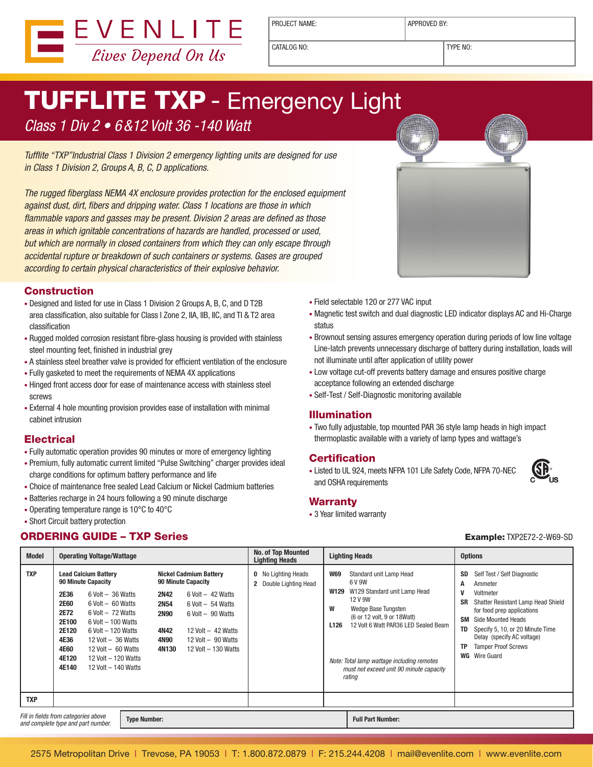

PROJECT NAME:  $\vert$  APPROVED BY:

CATALOG NO: TYPE NO:

# TUFFLITE TXP - Emergency Light

Class 1 Div 2 • 6&12 Volt 36 -140 Watt

Tufflite "TXP"Industrial Class 1 Division 2 emergency lighting units are designed for use in Class 1 Division 2, Groups A, B, C, D applications.

The rugged fiberglass NEMA 4X enclosure provides protection for the enclosed equipment against dust, dirt, fibers and dripping water. Class 1 locations are those in which flammable vapors and gasses may be present. Division 2 areas are defined as those areas in which ignitable concentrations of hazards are handled, processed or used, but which are normally in closed containers from which they can only escape through accidental rupture or breakdown of such containers or systems. Gases are grouped according to certain physical characteristics of their explosive behavior.

#### **Construction**

- Designed and listed for use in Class 1 Division 2 Groups A, B, C, and D T2B area classification, also suitable for Class I Zone 2, IIA, IIB, IIC, and TI & T2 area classification
- Rugged molded corrosion resistant fibre-glass housing is provided with stainless steel mounting feet, finished in industrial grey
- A stainless steel breather valve is provided for efficient ventilation of the enclosure
- Fully gasketed to meet the requirements of NEMA 4X applications
- Hinged front access door for ease of maintenance access with stainless steel screws
- External 4 hole mounting provision provides ease of installation with minimal cabinet intrusion

#### **Electrical**

- Fully automatic operation provides 90 minutes or more of emergency lighting
- Premium, fully automatic current limited "Pulse Switching" charger provides ideal charge conditions for optimum battery performance and life
- Choice of maintenance free sealed Lead Calcium or Nickel Cadmium batteries
- Batteries recharge in 24 hours following a 90 minute discharge
- Operating temperature range is 10°C to 40°C
- Short Circuit battery protection

### **ORDERING GUIDE – TXP Series Example:** TXP2E72-2-W69-SD



- Field selectable 120 or 277 VAC input
- Magnetic test switch and dual diagnostic LED indicator displays AC and Hi-Charge status
- Brownout sensing assures emergency operation during periods of low line voltage Line-latch prevents unnecessary discharge of battery during installation, loads will not illuminate until after application of utility power
- Low voltage cut-off prevents battery damage and ensures positive charge acceptance following an extended discharge
- Self-Test / Self-Diagnostic monitoring available

#### Illumination

• Two fully adjustable, top mounted PAR 36 style lamp heads in high impact thermoplastic available with a variety of lamp types and wattage's

#### **Certification**

• Listed to UL 924, meets NFPA 101 Life Safety Code, NFPA 70-NEC and OSHA requirements

#### **Warranty**

• 3 Year limited warranty

**GP** 

| <b>Model</b>                                                                                      | <b>Operating Voltage/Wattage</b>                                                              |                                                                                                                                                                                                                                                                                  |                                                                    |                                                                                                                                                                                                  | <b>No. of Top Mounted</b><br><b>Lighting Heads</b>   |                                             | <b>Lighting Heads</b>                                                                                                                                                                                                                                                          |                                                           | <b>Options</b>                                                                                                                                                                                                                                                        |  |
|---------------------------------------------------------------------------------------------------|-----------------------------------------------------------------------------------------------|----------------------------------------------------------------------------------------------------------------------------------------------------------------------------------------------------------------------------------------------------------------------------------|--------------------------------------------------------------------|--------------------------------------------------------------------------------------------------------------------------------------------------------------------------------------------------|------------------------------------------------------|---------------------------------------------|--------------------------------------------------------------------------------------------------------------------------------------------------------------------------------------------------------------------------------------------------------------------------------|-----------------------------------------------------------|-----------------------------------------------------------------------------------------------------------------------------------------------------------------------------------------------------------------------------------------------------------------------|--|
| <b>TXP</b>                                                                                        | <b>2E36</b><br><b>2E60</b><br>2E72<br>2E100<br>2E120<br>4E36<br><b>4E60</b><br>4E120<br>4E140 | <b>Lead Calcium Battery</b><br><b>90 Minute Capacity</b><br>$6$ Volt $-36$ Watts<br>$6$ Volt $-60$ Watts<br>$6$ Volt $-72$ Watts<br>$6$ Volt $-100$ Watts<br>$6$ Volt $-120$ Watts<br>12 Volt $-36$ Watts<br>$12$ Volt $-60$ Watts<br>12 Volt - 120 Watts<br>12 Volt - 140 Watts | <b>2N42</b><br><b>2N54</b><br><b>2N90</b><br>4N42<br>4N90<br>4N130 | Nickel Cadmium Battery<br><b>90 Minute Capacity</b><br>$6$ Volt $-42$ Watts<br>$6$ Volt $-54$ Watts<br>$6$ Volt $-90$ Watts<br>12 Volt $-42$ Watts<br>12 Volt $-90$ Watts<br>12 Volt - 130 Watts | <b>0</b> No Lighting Heads<br>2 Double Lighting Head | <b>W69</b><br>W129<br>W<br>L <sub>126</sub> | Standard unit Lamp Head<br>6 V 9W<br>W129 Standard unit Lamp Head<br>12 V 9W<br>Wedge Base Tungsten<br>(6 or 12 volt, 9 or 18 Watt)<br>12 Volt 6 Watt PAR36 LED Sealed Beam<br>Note: Total lamp wattage including remotes<br>must not exceed unit 90 minute capacity<br>rating | SD<br>Α<br>V<br><b>SR</b><br><b>SM</b><br>TD<br><b>TP</b> | Self Test / Self Diagnostic<br>Ammeter<br>Voltmeter<br>Shatter Resistant Lamp Head Shield<br>for food prep applications<br>Side Mounted Heads<br>Specify 5, 10, or 20 Minute Time<br>Delay (specify AC voltage)<br><b>Tamper Proof Screws</b><br><b>WG</b> Wire Guard |  |
| <b>TXP</b>                                                                                        |                                                                                               |                                                                                                                                                                                                                                                                                  |                                                                    |                                                                                                                                                                                                  |                                                      |                                             |                                                                                                                                                                                                                                                                                |                                                           |                                                                                                                                                                                                                                                                       |  |
| Fill in fields from categories above<br><b>Type Number:</b><br>and complete type and part number. |                                                                                               |                                                                                                                                                                                                                                                                                  |                                                                    |                                                                                                                                                                                                  |                                                      |                                             | <b>Full Part Number:</b>                                                                                                                                                                                                                                                       |                                                           |                                                                                                                                                                                                                                                                       |  |